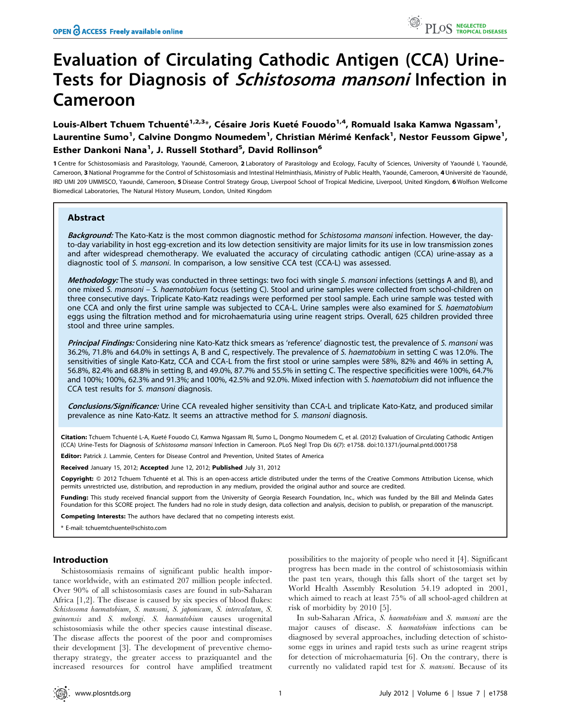# Evaluation of Circulating Cathodic Antigen (CCA) Urine-Tests for Diagnosis of Schistosoma mansoni Infection in Cameroon

Louis-Albert Tchuem Tchuenté<sup>1,2,3</sup>\*, Césaire Joris Kueté Fouodo<sup>1,4</sup>, Romuald Isaka Kamwa Ngassam<sup>1</sup>, Laurentine Sumo<sup>1</sup>, Calvine Dongmo Noumedem<sup>1</sup>, Christian Mérimé Kenfack<sup>1</sup>, Nestor Feussom Gipwe<sup>1</sup>, Esther Dankoni Nana<sup>1</sup>, J. Russell Stothard<sup>5</sup>, David Rollinson<sup>6</sup>

1 Centre for Schistosomiasis and Parasitology, Yaoundé, Cameroon, 2 Laboratory of Parasitology and Ecology, Faculty of Sciences, University of Yaoundé I, Yaoundé, Cameroon, 3 National Programme for the Control of Schistosomiasis and Intestinal Helminthiasis, Ministry of Public Health, Yaoundé, Cameroon, 4 Université de Yaoundé, IRD UMI 209 UMMISCO, Yaoundé, Cameroon, 5 Disease Control Strategy Group, Liverpool School of Tropical Medicine, Liverpool, United Kingdom, 6 Wolfson Wellcome Biomedical Laboratories, The Natural History Museum, London, United Kingdom

# Abstract

Background: The Kato-Katz is the most common diagnostic method for Schistosoma mansoni infection. However, the dayto-day variability in host egg-excretion and its low detection sensitivity are major limits for its use in low transmission zones and after widespread chemotherapy. We evaluated the accuracy of circulating cathodic antigen (CCA) urine-assay as a diagnostic tool of S. mansoni. In comparison, a low sensitive CCA test (CCA-L) was assessed.

Methodology: The study was conducted in three settings: two foci with single S. mansoni infections (settings A and B), and one mixed S. mansoni – S. haematobium focus (setting C). Stool and urine samples were collected from school-children on three consecutive days. Triplicate Kato-Katz readings were performed per stool sample. Each urine sample was tested with one CCA and only the first urine sample was subjected to CCA-L. Urine samples were also examined for S. haematobium eggs using the filtration method and for microhaematuria using urine reagent strips. Overall, 625 children provided three stool and three urine samples.

Principal Findings: Considering nine Kato-Katz thick smears as 'reference' diagnostic test, the prevalence of S. mansoni was 36.2%, 71.8% and 64.0% in settings A, B and C, respectively. The prevalence of S. haematobium in setting C was 12.0%. The sensitivities of single Kato-Katz, CCA and CCA-L from the first stool or urine samples were 58%, 82% and 46% in setting A, 56.8%, 82.4% and 68.8% in setting B, and 49.0%, 87.7% and 55.5% in setting C. The respective specificities were 100%, 64.7% and 100%; 100%, 62.3% and 91.3%; and 100%, 42.5% and 92.0%. Mixed infection with S. haematobium did not influence the CCA test results for S. mansoni diagnosis.

Conclusions/Significance: Urine CCA revealed higher sensitivity than CCA-L and triplicate Kato-Katz, and produced similar prevalence as nine Kato-Katz. It seems an attractive method for S. mansoni diagnosis.

Citation: Tchuem Tchuenté L-A, Kueté Fouodo CJ, Kamwa Ngassam RI, Sumo L, Dongmo Noumedem C, et al. (2012) Evaluation of Circulating Cathodic Antigen (CCA) Urine-Tests for Diagnosis of Schistosoma mansoni Infection in Cameroon. PLoS Negl Trop Dis 6(7): e1758. doi:10.1371/journal.pntd.0001758

Editor: Patrick J. Lammie, Centers for Disease Control and Prevention, United States of America

Received January 15, 2012; Accepted June 12, 2012; Published July 31, 2012

Copyright: @ 2012 Tchuem Tchuenté et al. This is an open-access article distributed under the terms of the Creative Commons Attribution License, which permits unrestricted use, distribution, and reproduction in any medium, provided the original author and source are credited.

Funding: This study received financial support from the University of Georgia Research Foundation, Inc., which was funded by the Bill and Melinda Gates Foundation for this SCORE project. The funders had no role in study design, data collection and analysis, decision to publish, or preparation of the manuscript.

Competing Interests: The authors have declared that no competing interests exist.

\* E-mail: tchuemtchuente@schisto.com

# Introduction

Schistosomiasis remains of significant public health importance worldwide, with an estimated 207 million people infected. Over 90% of all schistosomiasis cases are found in sub-Saharan Africa [1,2]. The disease is caused by six species of blood flukes: Schistosoma haematobium, S. mansoni, S. japonicum, S. intercalatum, S. guineensis and S. mekongi. S. haematobium causes urogenital schistosomiasis while the other species cause intestinal disease. The disease affects the poorest of the poor and compromises their development [3]. The development of preventive chemotherapy strategy, the greater access to praziquantel and the increased resources for control have amplified treatment

possibilities to the majority of people who need it [4]. Significant progress has been made in the control of schistosomiasis within the past ten years, though this falls short of the target set by World Health Assembly Resolution 54.19 adopted in 2001, which aimed to reach at least 75% of all school-aged children at risk of morbidity by 2010 [5].

In sub-Saharan Africa, S. haematobium and S. mansoni are the major causes of disease. S. haematobium infections can be diagnosed by several approaches, including detection of schistosome eggs in urines and rapid tests such as urine reagent strips for detection of microhaematuria [6]. On the contrary, there is currently no validated rapid test for S. mansoni. Because of its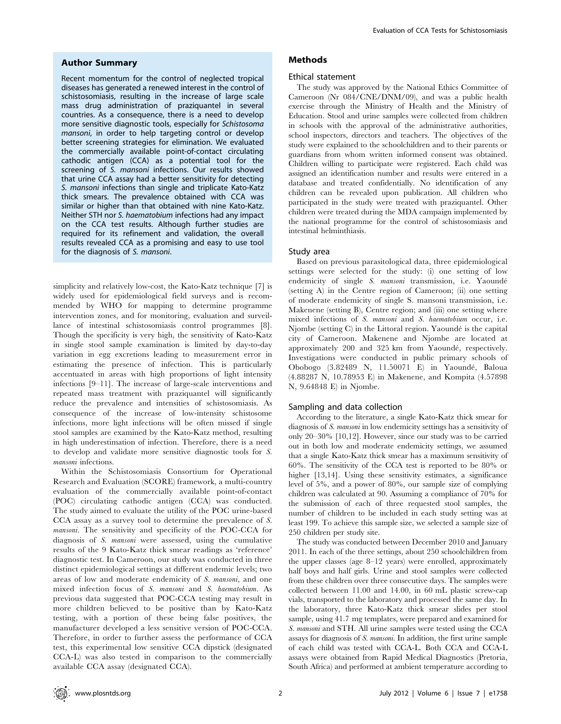## Author Summary

Recent momentum for the control of neglected tropical diseases has generated a renewed interest in the control of schistosomiasis, resulting in the increase of large scale mass drug administration of praziquantel in several countries. As a consequence, there is a need to develop more sensitive diagnostic tools, especially for Schistosoma mansoni, in order to help targeting control or develop better screening strategies for elimination. We evaluated the commercially available point-of-contact circulating cathodic antigen (CCA) as a potential tool for the screening of S. mansoni infections. Our results showed that urine CCA assay had a better sensitivity for detecting S. mansoni infections than single and triplicate Kato-Katz thick smears. The prevalence obtained with CCA was similar or higher than that obtained with nine Kato-Katz. Neither STH nor S. haematobium infections had any impact on the CCA test results. Although further studies are required for its refinement and validation, the overall results revealed CCA as a promising and easy to use tool for the diagnosis of S. mansoni.

simplicity and relatively low-cost, the Kato-Katz technique [7] is widely used for epidemiological field surveys and is recommended by WHO for mapping to determine programme intervention zones, and for monitoring, evaluation and surveillance of intestinal schistosomiasis control programmes [8]. Though the specificity is very high, the sensitivity of Kato-Katz in single stool sample examination is limited by day-to-day variation in egg excretions leading to measurement error in estimating the presence of infection. This is particularly accentuated in areas with high proportions of light intensity infections [9–11]. The increase of large-scale interventions and repeated mass treatment with praziquantel will significantly reduce the prevalence and intensities of schistosomiasis. As consequence of the increase of low-intensity schistosome infections, more light infections will be often missed if single stool samples are examined by the Kato-Katz method, resulting in high underestimation of infection. Therefore, there is a need to develop and validate more sensitive diagnostic tools for S. mansoni infections.

Within the Schistosomiasis Consortium for Operational Research and Evaluation (SCORE) framework, a multi-country evaluation of the commercially available point-of-contact (POC) circulating cathodic antigen (CCA) was conducted. The study aimed to evaluate the utility of the POC urine-based CCA assay as a survey tool to determine the prevalence of S. mansoni. The sensitivity and specificity of the POC-CCA for diagnosis of S. mansoni were assessed, using the cumulative results of the 9 Kato-Katz thick smear readings as 'reference' diagnostic test. In Cameroon, our study was conducted in three distinct epidemiological settings at different endemic levels; two areas of low and moderate endemicity of S. mansoni, and one mixed infection focus of S. mansoni and S. haematobium. As previous data suggested that POC-CCA testing may result in more children believed to be positive than by Kato-Katz testing, with a portion of these being false positives, the manufacturer developed a less sensitive version of POC-CCA. Therefore, in order to further assess the performance of CCA test, this experimental low sensitive CCA dipstick (designated CCA-L) was also tested in comparison to the commercially available CCA assay (designated CCA).

# Methods

#### Ethical statement

The study was approved by the National Ethics Committee of Cameroon (Nr 084/CNE/DNM/09), and was a public health exercise through the Ministry of Health and the Ministry of Education. Stool and urine samples were collected from children in schools with the approval of the administrative authorities, school inspectors, directors and teachers. The objectives of the study were explained to the schoolchildren and to their parents or guardians from whom written informed consent was obtained. Children willing to participate were registered. Each child was assigned an identification number and results were entered in a database and treated confidentially. No identification of any children can be revealed upon publication. All children who participated in the study were treated with praziquantel. Other children were treated during the MDA campaign implemented by the national programme for the control of schistosomiasis and intestinal helminthiasis.

#### Study area

Based on previous parasitological data, three epidemiological settings were selected for the study: (i) one setting of low endemicity of single S. mansoni transmission, i.e. Yaoundé (setting A) in the Centre region of Cameroon; (ii) one setting of moderate endemicity of single S. mansoni transmission, i.e. Makenene (setting B), Centre region; and (iii) one setting where mixed infections of S. mansoni and S. haematobium occur, i.e. Njombe (setting  $C$ ) in the Littoral region. Yaoundé is the capital city of Cameroon. Makenene and Njombe are located at approximately 200 and 325 km from Yaoundé, respectively. Investigations were conducted in public primary schools of Obobogo (3.82489 N, 11.50071 E) in Yaoundé, Baloua (4.88287 N, 10.78953 E) in Makenene, and Kompita (4.57898 N, 9.64848 E) in Njombe.

#### Sampling and data collection

According to the literature, a single Kato-Katz thick smear for diagnosis of S. mansoni in low endemicity settings has a sensitivity of only 20–30% [10,12]. However, since our study was to be carried out in both low and moderate endemicity settings, we assumed that a single Kato-Katz thick smear has a maximum sensitivity of 60%. The sensitivity of the CCA test is reported to be 80% or higher [13,14]. Using these sensitivity estimates, a significance level of 5%, and a power of 80%, our sample size of complying children was calculated at 90. Assuming a compliance of 70% for the submission of each of three requested stool samples, the number of children to be included in each study setting was at least 199. To achieve this sample size, we selected a sample size of 250 children per study site.

The study was conducted between December 2010 and January 2011. In each of the three settings, about 250 schoolchildren from the upper classes (age 8–12 years) were enrolled, approximately half boys and half girls. Urine and stool samples were collected from these children over three consecutive days. The samples were collected between 11.00 and 14.00, in 60 mL plastic screw-cap vials, transported to the laboratory and processed the same day. In the laboratory, three Kato-Katz thick smear slides per stool sample, using 41.7 mg templates, were prepared and examined for S. mansoni and STH. All urine samples were tested using the CCA assays for diagnosis of S. mansoni. In addition, the first urine sample of each child was tested with CCA-L. Both CCA and CCA-L assays were obtained from Rapid Medical Diagnostics (Pretoria, South Africa) and performed at ambient temperature according to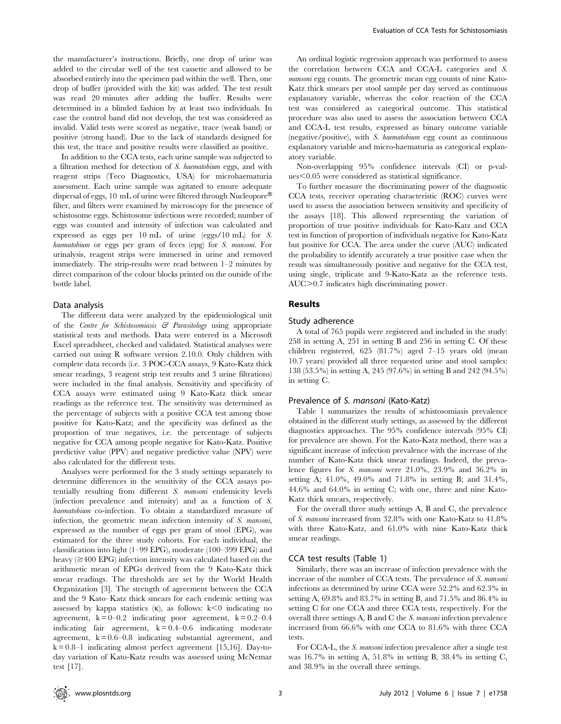the manufacturer's instructions. Briefly, one drop of urine was added to the circular well of the test cassette and allowed to be absorbed entirely into the specimen pad within the well. Then, one drop of buffer (provided with the kit) was added. The test result was read 20 minutes after adding the buffer. Results were determined in a blinded fashion by at least two individuals. In case the control band did not develop, the test was considered as invalid. Valid tests were scored as negative, trace (weak band) or positive (strong band). Due to the lack of standards designed for this test, the trace and positive results were classified as positive.

In addition to the CCA tests, each urine sample was subjected to a filtration method for detection of S. haematobium eggs, and with reagent strips (Teco Diagnostics, USA) for microhaematuria assessment. Each urine sample was agitated to ensure adequate dispersal of eggs, 10 mL of urine were filtered through Nucleopore<sup>®</sup> filter, and filters were examined by microscopy for the presence of schistosome eggs. Schistosome infections were recorded; number of eggs was counted and intensity of infection was calculated and expressed as eggs per 10 mL of urine (eggs/10 mL) for S. haematobium or eggs per gram of feces (epg) for S. mansoni. For urinalysis, reagent strips were immersed in urine and removed immediately. The strip-results were read between 1–2 minutes by direct comparison of the colour blocks printed on the outside of the bottle label.

## Data analysis

The different data were analyzed by the epidemiological unit of the Centre for Schistosomiasis & Parasitology using appropriate statistical tests and methods. Data were entered in a Microsoft Excel spreadsheet, checked and validated. Statistical analyses were carried out using R software version 2.10.0. Only children with complete data records (i.e. 3 POC-CCA assays, 9 Kato-Katz thick smear readings, 3 reagent strip test results and 3 urine filtrations) were included in the final analysis. Sensitivity and specificity of CCA assays were estimated using 9 Kato-Katz thick smear readings as the reference test. The sensitivity was determined as the percentage of subjects with a positive CCA test among those positive for Kato-Katz; and the specificity was defined as the proportion of true negatives, i.e. the percentage of subjects negative for CCA among people negative for Kato-Katz. Positive predictive value (PPV) and negative predictive value (NPV) were also calculated for the different tests.

Analyses were performed for the 3 study settings separately to determine differences in the sensitivity of the CCA assays potentially resulting from different S. mansoni endemicity levels (infection prevalence and intensity) and as a function of S. haematobium co-infection. To obtain a standardized measure of infection, the geometric mean infection intensity of S. mansoni, expressed as the number of eggs per gram of stool (EPG), was estimated for the three study cohorts. For each individual, the classification into light (1–99 EPG), moderate (100–399 EPG) and heavy  $(\geq 400 \text{ EPG})$  infection intensity was calculated based on the arithmetic mean of EPGs derived from the 9 Kato-Katz thick smear readings. The thresholds are set by the World Health Organization [3]. The strength of agreement between the CCA and the 9 Kato–Katz thick smears for each endemic setting was assessed by kappa statistics  $(\kappa)$ , as follows:  $k<0$  indicating no agreement,  $k = 0-0.2$  indicating poor agreement,  $k = 0.2-0.4$ indicating fair agreement,  $k = 0.4-0.6$  indicating moderate agreement,  $k = 0.6 - 0.8$  indicating substantial agreement, and  $k = 0.8-1$  indicating almost perfect agreement [15,16]. Day-today variation of Kato-Katz results was assessed using McNemar test [17].

An ordinal logistic regression approach was performed to assess the correlation between CCA and CCA-L categories and S. mansoni egg counts. The geometric mean egg counts of nine Kato-Katz thick smears per stool sample per day served as continuous explanatory variable, whereas the color reaction of the CCA test was considered as categorical outcome. This statistical procedure was also used to assess the association between CCA and CCA-L test results, expressed as binary outcome variable (negative/positive), with S. haematobium egg count as continuous explanatory variable and micro-haematuria as categorical explanatory variable.

Non-overlapping 95% confidence intervals (CI) or p-val $ues<0.05$  were considered as statistical significance.

To further measure the discriminating power of the diagnostic CCA tests, receiver operating characteristic (ROC) curves were used to assess the association between sensitivity and specificity of the assays [18]. This allowed representing the variation of proportion of true positive individuals for Kato-Katz and CCA test in function of proportion of individuals negative for Kato-Katz but positive for CCA. The area under the curve (AUC) indicated the probability to identify accurately a true positive case when the result was simultaneously positive and negative for the CCA test, using single, triplicate and 9-Kato-Katz as the reference tests. AUC $>$ 0.7 indicates high discriminating power.

# Results

### Study adherence

A total of 765 pupils were registered and included in the study: 258 in setting A, 251 in setting B and 256 in setting C. Of these children registered, 625 (81.7%) aged 7–15 years old (mean 10.7 years) provided all three requested urine and stool samples: 138 (53.5%) in setting A, 245 (97.6%) in setting B and 242 (94.5%) in setting C.

# Prevalence of S. mansoni (Kato-Katz)

Table 1 summarizes the results of schistosomiasis prevalence obtained in the different study settings, as assessed by the different diagnostics approaches. The 95% confidence intervals (95% CI) for prevalence are shown. For the Kato-Katz method, there was a significant increase of infection prevalence with the increase of the number of Kato-Katz thick smear readings. Indeed, the prevalence figures for S. mansoni were 21.0%, 23.9% and 36.2% in setting A; 41.0%, 49.0% and 71.8% in setting B; and 31.4%, 44.6% and 64.0% in setting C; with one, three and nine Kato-Katz thick smears, respectively.

For the overall three study settings A, B and C, the prevalence of S. mansoni increased from 32.8% with one Kato-Katz to 41.8% with three Kato-Katz, and 61.0% with nine Kato-Katz thick smear readings.

#### CCA test results (Table 1)

Similarly, there was an increase of infection prevalence with the increase of the number of CCA tests. The prevalence of S. mansoni infections as determined by urine CCA were 52.2% and 62.3% in setting A, 69.8% and 83.7% in setting B, and 71.5% and 86.4% in setting C for one CCA and three CCA tests, respectively. For the overall three settings A, B and C the S. mansoni infection prevalence increased from 66.6% with one CCA to 81.6% with three CCA tests.

For CCA-L, the S. mansoni infection prevalence after a single test was 16.7% in setting A, 51.8% in setting B, 38.4% in setting C, and 38.9% in the overall three settings.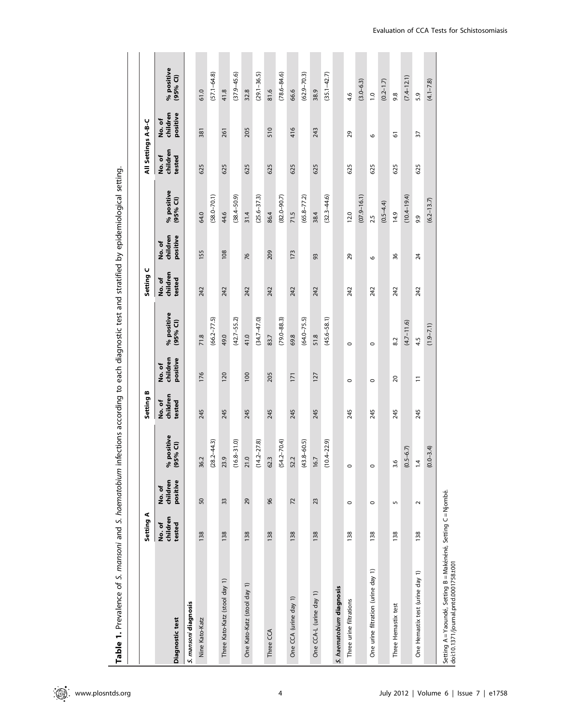|                                                                                                         | Setting A                   |                               |                        | Setting B                    |                                |                        | Setting C                    |                               |                          | All Settings A-B-C          |                                |                        |
|---------------------------------------------------------------------------------------------------------|-----------------------------|-------------------------------|------------------------|------------------------------|--------------------------------|------------------------|------------------------------|-------------------------------|--------------------------|-----------------------------|--------------------------------|------------------------|
|                                                                                                         |                             |                               |                        |                              |                                |                        |                              |                               |                          |                             |                                |                        |
| Diagnostic test                                                                                         | children<br>tested<br>No.of | children<br>positive<br>No.of | % positive<br>(95% CI) | children<br>tested<br>No. of | children<br>positive<br>No. of | % positive<br>(95% CI) | children<br>No. of<br>tested | children<br>positive<br>No.of | % positive<br>$(95%$ CI) | children<br>No.of<br>tested | positive<br>children<br>No. of | % positive<br>(95% CI) |
| S. mansoni diagnosis                                                                                    |                             |                               |                        |                              |                                |                        |                              |                               |                          |                             |                                |                        |
| Nine Kato-Katz                                                                                          | 138                         | 50                            | 36.2                   | 245                          | 176                            | 71.8                   | 242                          | 155                           | 64.0                     | 625                         | 381                            | 61.0                   |
|                                                                                                         |                             |                               | $(28.2 - 44.3)$        |                              |                                | $(66.2 - 77.5)$        |                              |                               | $(58.0 - 70.1)$          |                             |                                | $(57.1 - 64.8)$        |
| Three Kato-Katz (stool day 1)                                                                           | 138                         | 33                            | 23.9                   | 245                          | 120                            | 49.0                   | 242                          | 108                           | 44.6                     | 625                         | 261                            | 41.8                   |
|                                                                                                         |                             |                               | $(16.8 - 31.0)$        |                              |                                | $(42.7 - 55.2)$        |                              |                               | $(38.4 - 50.9)$          |                             |                                | $(37.9 - 45.6)$        |
| One Kato-Katz (stool day 1)                                                                             | 138                         | 29                            | 21.0                   | 245                          | 100                            | 41.0                   | 242                          | 76                            | 31.4                     | 625                         | 205                            | 32.8                   |
|                                                                                                         |                             |                               | $(14.2 - 27.8)$        |                              |                                | $(34.7 - 47.0)$        |                              |                               | $(25.6 - 37.3)$          |                             |                                | $(29.1 - 36.5)$        |
| Three CCA                                                                                               | 138                         | 96                            | 52.3                   | 245                          | 205                            | 83.7                   | 242                          | 209                           | 86.4                     | 625                         | 510                            | 81.6                   |
|                                                                                                         |                             |                               | $(54.2 - 70.4)$        |                              |                                | $(79.0 - 88.3)$        |                              |                               | $(82.0 - 90.7)$          |                             |                                | $(78.6 - 84.6)$        |
| One CCA (urine day 1)                                                                                   | 138                         | 72                            | 52.2                   | 245                          | 171                            | 69.8                   | 242                          | 173                           | 71.5                     | 625                         | 416                            | 66.6                   |
|                                                                                                         |                             |                               | $(43.8 - 60.5)$        |                              |                                | $(64.0 - 75.5)$        |                              |                               | $(65.8 - 77.2)$          |                             |                                | $(62.9 - 70.3)$        |
| One CCA-L (urine day 1)                                                                                 | 138                         | 23                            | 16.7                   | 245                          | 127                            | 51.8                   | 242                          | 93                            | 38.4                     | 625                         | 243                            | 38.9                   |
|                                                                                                         |                             |                               | $(10.4 - 22.9)$        |                              |                                | $(45.6 - 58.1)$        |                              |                               | $(32.3 - 44.6)$          |                             |                                | $(35.1 - 42.7)$        |
| S. haematobium diagnosis                                                                                |                             |                               |                        |                              |                                |                        |                              |                               |                          |                             |                                |                        |
| Three urine filtrations                                                                                 | 138                         | $\circ$                       |                        | 245                          | $\circ$                        | $\circ$                | 242                          | 29                            | 12.0                     | 625                         | 29                             | 4.6                    |
|                                                                                                         |                             |                               |                        |                              |                                |                        |                              |                               | $(07.9 - 16.1)$          |                             |                                | $(3.0 - 6.3)$          |
| One urine filtration (urine day 1)                                                                      | 138                         | $\circ$                       |                        | 245                          | $\circ$                        | $\circ$                | 242                          | $\circ$                       | 2.5                      | 625                         | $\circ$                        | $\overline{1.0}$       |
|                                                                                                         |                             |                               |                        |                              |                                |                        |                              |                               | $(0.5 - 4.4)$            |                             |                                | $(0.2 - 1.7)$          |
| Three Hemastix test                                                                                     | 138                         | $\sqrt{2}$                    | 3.6                    | 245                          | $\overline{c}$                 | 8.2                    | 242                          | 36                            | 14.9                     | 625                         | 6                              | 9.8                    |
|                                                                                                         |                             |                               | $(0.5 - 6.7)$          |                              |                                | $(4.7 - 11.6)$         |                              |                               | $(10.4 - 19.4)$          |                             |                                | $(7.4 - 12.1)$         |
| One Hemastix test (urine day 1)                                                                         | 138                         | $\sim$                        | 4                      | 245                          | Ξ                              | 4.5                    | 242                          | 24                            | 9.9                      | 625                         | 57                             | 5.9                    |
|                                                                                                         |                             |                               | $(0.0 - 3.4)$          |                              |                                | $(1.9 - 7.1)$          |                              |                               | $(6.2 - 13.7)$           |                             |                                | $(4.1 - 7.8)$          |
| Setting A = Yaoundé, Setting B = Makénéné, Setting C = Njombé.<br>doi:10.1371/journal.pntd.0001758.t001 |                             |                               |                        |                              |                                |                        |                              |                               |                          |                             |                                |                        |

Table 1. Prevalence of S. mansoni and S. haematobium infections according to each diagnostic test and stratified by epidemiological setting. Table 1. Prevalence of S. mansoni and S. haematobium infections according to each diagnostic test and stratified by epidemiological setting.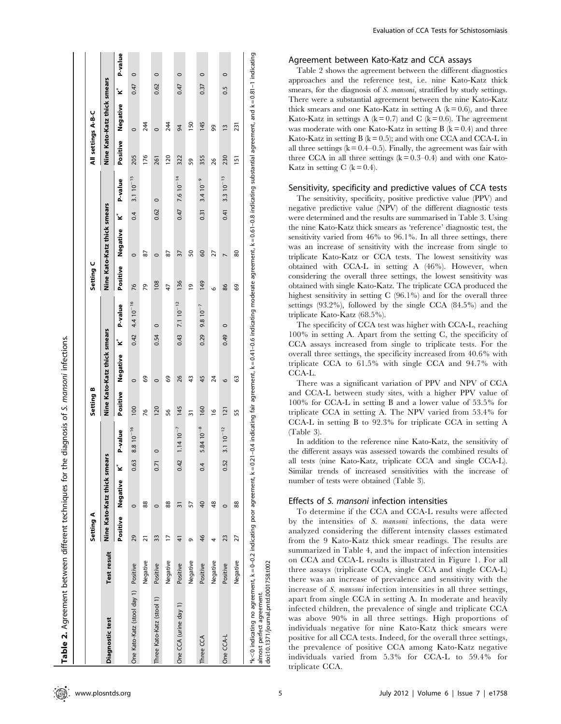| threat hands different to the threat to the science of the science of the present to the science of the science of the science of the science of the science of the science of the science of the science of the science of th |
|--------------------------------------------------------------------------------------------------------------------------------------------------------------------------------------------------------------------------------|
| $\vdots$                                                                                                                                                                                                                       |
|                                                                                                                                                                                                                                |
| - יכלל ברות המוני להתוכנית המונית המונית ה                                                                                                                                                                                     |
|                                                                                                                                                                                                                                |
|                                                                                                                                                                                                                                |
|                                                                                                                                                                                                                                |
| - ^ A H I II I J J J - 1 - 1 - 1 - 1 - 7                                                                                                                                                                                       |
|                                                                                                                                                                                                                                |
|                                                                                                                                                                                                                                |
| :<br>'                                                                                                                                                                                                                         |
| ŗ                                                                                                                                                                                                                              |
| ごころ しょうこう                                                                                                                                                                                                                      |

|                                                                                                                                                                                                                                                                                                 |             | Setting A      |                             |      |                   | Setting B     |                             |      |                       | Setting C      |                             |      |                       | All settings A-B-C |                             |       |         |
|-------------------------------------------------------------------------------------------------------------------------------------------------------------------------------------------------------------------------------------------------------------------------------------------------|-------------|----------------|-----------------------------|------|-------------------|---------------|-----------------------------|------|-----------------------|----------------|-----------------------------|------|-----------------------|--------------------|-----------------------------|-------|---------|
| Diagnostic test                                                                                                                                                                                                                                                                                 | Test result |                | Nine Kato-Katz thick smears |      |                   |               | Nine Kato-Katz thick smears |      |                       |                | Nine Kato-Katz thick smears |      |                       |                    | Nine Kato-Katz thick smears |       |         |
|                                                                                                                                                                                                                                                                                                 |             | Positive       | Negative                    | ั้⊻  | P-value           | Positive      | Negative                    | ً⊻ْ  | P-value               | Positive       | Negative                    | `⊻   | P-value               | Positive           | Negative                    | ััััั | P-value |
| One Kato-Katz (stool day 1) Positive                                                                                                                                                                                                                                                            |             | 29             | $\circ$                     | 0.63 | $8.8 \ 10^{-16}$  | 100           | $\circ$                     | 0.42 | $4.4 10^{-16}$        | 76             | $\circ$                     | 0.4  | $3.1 \, 10^{-15}$     | 205                | $\circ$                     | 0.47  | $\circ$ |
|                                                                                                                                                                                                                                                                                                 | Negative    | ភ              | 88                          |      |                   | 76            | 69                          |      |                       | 79             | 87                          |      |                       | 176                | 244                         |       |         |
| Three Kato-Katz (stool 1)                                                                                                                                                                                                                                                                       | Positive    | 33             | $\circ$                     | 0.71 | $\circ$           | 120           | $\circ$                     | 0.54 | $\circ$               | 108            | $\circ$                     | 0.62 | $\circ$               | 261                | $\circ$                     | 0.62  | $\circ$ |
|                                                                                                                                                                                                                                                                                                 | Negative    | $\overline{1}$ | 88                          |      |                   | 56            | 8                           |      |                       | 47             | 87                          |      |                       | 120                | 244                         |       |         |
| One CCA (urine day 1)                                                                                                                                                                                                                                                                           | Positive    | $\frac{4}{1}$  | $\overline{31}$             | 0.42 | $1.1410^{-7}$     | 145           | 26                          |      | $0.43$ 7.1 $10^{-12}$ | 136            | 37                          |      | $0.47$ 7.6 $10^{-14}$ | 322                | 94                          | 0.47  | $\circ$ |
|                                                                                                                                                                                                                                                                                                 | Negative    | Ō              | 57                          |      |                   | 51            | 43                          |      |                       | $\overline{6}$ | 50                          |      |                       | 59                 | 150                         |       |         |
| Three CCA                                                                                                                                                                                                                                                                                       | Positive    | 46             | 40                          | 0.4  | $5.8410^{-8}$     | 160           | 45                          | 0.29 | $9.810^{-7}$          | 149            | 60                          | 0.31 | $3.4 10^{-9}$         | 355                | 145                         | 0.37  | $\circ$ |
|                                                                                                                                                                                                                                                                                                 | Negative    |                | 48                          |      |                   | $\frac{6}{2}$ | 24                          |      |                       | O              | 27                          |      |                       | 26                 | 99                          |       |         |
| One CCA-L                                                                                                                                                                                                                                                                                       | Positive    | 23             | $\circ$                     | 0.52 | $3.1 \, 10^{-12}$ | 121           | $\circ$                     | 0.49 | $\circ$               | 86             | $\overline{ }$              | 0.41 | $3.3 \, 10^{-13}$     | 230                | $\bar{1}$                   | 0.5   | $\circ$ |
|                                                                                                                                                                                                                                                                                                 | Negative    | 27             | 88                          |      |                   | 55            | G3                          |      |                       | 69             | 80                          |      |                       | 151                | 231                         |       |         |
| $\ast$ K<0 indicating no agreement, k=0-02 indicating poor agreement, k=021-0.4 indicating fair agreement, k=0.41-0.6 indicating moderate agreement, k=0.61-0.8 indicating substantial agreement, and k=0.81-1 indicating<br>doi:10.1371/journal.pntd.0001758.t002<br>almost perfect agreement. |             |                |                             |      |                   |               |                             |      |                       |                |                             |      |                       |                    |                             |       |         |

## Agreement between Kato-Katz and CCA assays

Table 2 shows the agreement between the different diagnostics approaches and the reference test, i.e. nine Kato-Katz thick smears, for the diagnosis of S. mansoni, stratified by study settings. There were a substantial agreement between the nine Kato-Katz thick smears and one Kato-Katz in setting A  $(k = 0.6)$ , and three Kato-Katz in settings A  $(k = 0.7)$  and C  $(k = 0.6)$ . The agreement was moderate with one Kato-Katz in setting B  $(k = 0.4)$  and three Kato-Katz in setting  $B (k = 0.5)$ ; and with one CCA and CCA-L in all three settings  $(k = 0.4-0.5)$ . Finally, the agreement was fair with three CCA in all three settings  $(k = 0.3-0.4)$  and with one Kato-Katz in setting C  $(k = 0.4)$ .

## Sensitivity, specificity and predictive values of CCA tests

The sensitivity, specificity, positive predictive value (PPV) and negative predictive value (NPV) of the different diagnostic tests were determined and the results are summarised in Table 3. Using the nine Kato-Katz thick smears as 'reference' diagnostic test, the sensitivity varied from 46% to 96.1%. In all three settings, there was an increase of sensitivity with the increase from single to triplicate Kato-Katz or CCA tests. The lowest sensitivity was obtained with CCA-L in setting A (46%). However, when considering the overall three settings, the lowest sensitivity was obtained with single Kato-Katz. The triplicate CCA produced the highest sensitivity in setting C (96.1%) and for the overall three settings (93.2%), followed by the single CCA (84.5%) and the triplicate Kato-Katz (68.5%).

The specificity of CCA test was higher with CCA-L, reaching 100% in setting A. Apart from the setting C, the specificity of CCA assays increased from single to triplicate tests. For the overall three settings, the specificity increased from 40.6% with triplicate CCA to 61.5% with single CCA and 94.7% with CCA-L.

There was a significant variation of PPV and NPV of CCA and CCA-L between study sites, with a higher PPV value of 100% for CCA-L in setting B and a lower value of 53.5% for triplicate CCA in setting A. The NPV varied from 53.4% for CCA-L in setting B to 92.3% for triplicate CCA in setting A (Table 3).

In addition to the reference nine Kato-Katz, the sensitivity of the different assays was assessed towards the combined results of all tests (nine Kato-Katz, triplicate CCA and single CCA-L). Similar trends of increased sensitivities with the increase of number of tests were obtained (Table 3).

#### Effects of S. mansoni infection intensities

To determine if the CCA and CCA-L results were affected by the intensities of S. mansoni infections, the data were analyzed considering the different intensity classes estimated from the 9 Kato-Katz thick smear readings. The results are summarized in Table 4, and the impact of infection intensities on CCA and CCA-L results is illustrated in Figure 1. For all three assays (triplicate CCA, single CCA and single CCA-L) there was an increase of prevalence and sensitivity with the increase of S. mansoni infection intensities in all three settings, apart from single CCA in setting A. In moderate and heavily infected children, the prevalence of single and triplicate CCA was above 90% in all three settings. High proportions of individuals negative for nine Kato-Katz thick smears were positive for all CCA tests. Indeed, for the overall three settings, the prevalence of positive CCA among Kato-Katz negative individuals varied from 5.3% for CCA-L to 59.4% for triplicate CCA.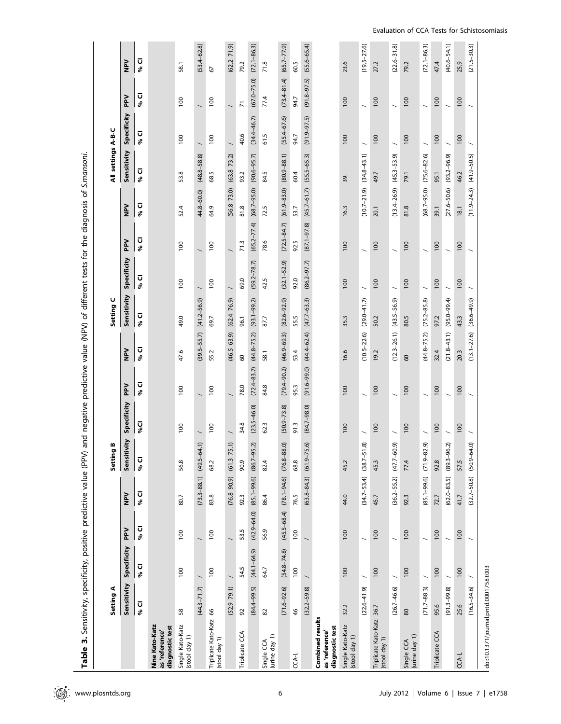| انتصاد تار در سا                                               |  |
|----------------------------------------------------------------|--|
| $\frac{1}{2}$                                                  |  |
|                                                                |  |
|                                                                |  |
|                                                                |  |
|                                                                |  |
| )<br>2<br>2<br>2<br>2<br>2                                     |  |
| こうしょう エイ・キャット せいせい                                             |  |
|                                                                |  |
|                                                                |  |
|                                                                |  |
| ;<br>;                                                         |  |
|                                                                |  |
|                                                                |  |
|                                                                |  |
|                                                                |  |
|                                                                |  |
| 22.1112                                                        |  |
| )<br> <br> <br>Ī<br>֧֧֧֧֧֚֚֚֚֚֚֚֚֚֚֚֚֚֚֚֚֚֚֚֚֚֚֚֚֚֚֝֟֓֝֝֓֝֓֝֓֝ |  |
| $\ddot{\phantom{a}}$                                           |  |
|                                                                |  |
| l                                                              |  |
|                                                                |  |
|                                                                |  |
| $\frac{1}{2}$                                                  |  |
| l                                                              |  |
|                                                                |  |
| ומת הרודווא היה<br>;<br>;<br>;<br>;                            |  |
|                                                                |  |
|                                                                |  |
|                                                                |  |
|                                                                |  |
|                                                                |  |
| ;<br>;                                                         |  |
|                                                                |  |
| a<br>S                                                         |  |
|                                                                |  |

|                                                       | Setting A                       |                          |                 |                                 | B<br>Setting                 |                 |                 |                 | Setting C       |                 |                  |                 | All settings A-B-C |                 |                          |                 |
|-------------------------------------------------------|---------------------------------|--------------------------|-----------------|---------------------------------|------------------------------|-----------------|-----------------|-----------------|-----------------|-----------------|------------------|-----------------|--------------------|-----------------|--------------------------|-----------------|
|                                                       | Sensitivity                     | Specificity              | PPV             | $\geq$                          | Sensitivity                  | Specificity     | 짙               | $\geq$          | Sensitivity     | Specificity     | <b>PP</b>        | $\frac{5}{2}$   | Sensitivity        | Specificity     | <b>PPV</b>               | $\geq$          |
|                                                       | Ū<br>$\boldsymbol{\mathcal{S}}$ | Ū<br>$\dot{\mathcal{S}}$ | % CI            | Ū<br>್ಲಿ                        | $\overline{\mathbf{u}}$<br>ৡ | <b>D</b> %      | ū<br>ಕೆ         | ū<br>ಕೆ         | ⊽<br>್ಲಿ        | ū<br>್ಲಿ        | ū<br>ಕೆ          | ⊽<br>శ          | ū<br>%             | ū<br>℅          | ū<br>శ                   | ⊽<br>శ          |
| Nine Kato-Katz<br>diagnostic test<br>as 'reference'   |                                 |                          |                 |                                 |                              |                 |                 |                 |                 |                 |                  |                 |                    |                 |                          |                 |
| Single Kato-Katz<br>(stool day 1)                     | $58\,$                          | 100                      | 100             | 80.7                            | 56.8                         | 100             | 100             | 47.6            | 49.0            | 100             | 100              | 52.4            | 53.8               | 100             | 100                      | 58.1            |
|                                                       | $(44.3 - 71.7)$                 |                          |                 | $(73.3 - 88.1)$                 | $(49.5 - 64.1)$              |                 |                 | $(39.5 - 55.7)$ | $(41.2 - 56.9)$ |                 |                  | 44.8-60.0)      | $(48.8 - 58.8)$    |                 |                          | $(53.4 - 62.8)$ |
| Triplicate Kato-Katz<br>(stool day 1)                 | 66                              | 100                      | 100             | 83.8                            | 68.2                         | 100             | 100             | 55.2            | 69.7            | 100             | $\overline{100}$ | 64.9            | 68.5               | 100             | 100                      | 67              |
|                                                       | $(52.9 - 79.1)$                 |                          |                 | $(76.8 - 90.9)$                 | $(61.3 - 75.1)$              |                 |                 | $(46.5 - 63.9)$ | $(62.4 - 76.9)$ |                 |                  | $(56.8 - 73.0)$ | $(63.8 - 73.2)$    |                 | $\overline{\phantom{0}}$ | $(62.2 - 71.9)$ |
| Triplicate CCA                                        | 92                              | 54.5                     | 53.5            | 92.3                            | 90.9                         | 34.8            | 78.0            | $\mbox{S}$      | 96.1            | 69.0            | 71.3             | 81.8            | 93.2               | 40.6            | $\overline{z}$           | 79.2            |
|                                                       | $(84.4 - 99.5)$                 | $(44.1 - 64.9)$          | $(42.9 - 64.0)$ | $(85.1 - 99.6)$                 | ίζ.<br>$(86.7 - 95.$         | $(23.5 - 46.0)$ | $(72.4 - 83.7)$ | $(44.8 - 75.2)$ | $(93.1 - 99.2)$ | $(59.2 - 78.7)$ | $(65.2 - 77.4)$  | $(68.7 - 95.0)$ | $(90.6 - 95.7)$    | $(34.4 - 46.7)$ | $(67.0 - 75.0)$          | $(72.1 - 86.3)$ |
| (urine day 1)<br>Single CCA                           | $82\,$                          | 64.7                     | 56.9            | 86.4                            | 82.4                         | 62.3            | 84.8            | 58.1            | 87.7            | 42.5            | 78.6             | 72.5            | 84.5               | 61.5            | 77.4                     | 71.8            |
|                                                       | $(71.6 - 92.6)$                 | $(54.8 - 74.8)$          | $(45.5 - 68.4)$ | $(78.1 - 94.6)$ $(76.8 - 88.0)$ |                              | $(50.9 - 73.8)$ | $(79.4 - 90.2)$ | $(46.9 - 69.3)$ | $(82.6 - 92.9)$ | $(32.1 - 52.9)$ | $(72.5 - 84.7)$  | $(61.9 - 83.0)$ | $(80.9 - 88.1)$    | $(55.4 - 67.6)$ | $(73.4 - 81.4)$          | $(65.7 - 77.9)$ |
| CCA-L                                                 | $\frac{4}{5}$                   | 100                      | 100             | 76.5                            | 68.8                         | 91.3            | 95.3            | 53.4            | 55.5            | 92.0            | 92.5             | 53.7            | 60.4               | 94.7            | 94.7                     | 60.5            |
|                                                       | $(32.2 - 59.8)$                 |                          |                 | $(63.8 - 84.3)$                 | $(61.9 - 75.6)$              | $(84.7 - 98.0)$ | $(91.6 - 99.0)$ | $(44.4 - 62.4)$ | $(47.7 - 63.3)$ | $(86.2 - 97.7)$ | $(87.1 - 97.8)$  | $(45.7 - 61.7)$ | $(55.5 - 65.3)$    | $(91.9 - 97.5)$ | $(91.8 - 97.5)$          | $(55.6 - 65.4)$ |
| Combined results<br>diagnostic test<br>as 'reference' |                                 |                          |                 |                                 |                              |                 |                 |                 |                 |                 |                  |                 |                    |                 |                          |                 |
| Single Kato-Katz<br>(stool day 1)                     | 32.2                            | 100                      | 100             | 44.0                            | 45.2                         | 100             | 100             | 16.6            | 35.3            | 100             | 100              | 16.3            | 39.                | $\overline{00}$ | 100                      | 23.6            |
|                                                       | $(22.6 - 41.9)$                 |                          |                 | $(34.7 - 53.4)$                 | බ<br>$(38.7 - 51)$           |                 |                 | $(10.5 - 22.6)$ | $(29.0 - 41.7)$ |                 |                  | $(10.7 - 21.9)$ | $(34.8 - 43.1)$    |                 |                          | $(19.5 - 27.6)$ |
| Triplicate Kato-Katz 36.7<br>(stool day 1)            |                                 | 100                      | 100             | 45.7                            | 45.3                         | 100             | 100             | 19.2            | 50.2            | 100             | 100              | 20.1            | 49.7               | 100             | 100                      | 27.2            |
|                                                       | $(26.7 - 46.6)$                 |                          |                 | $(36.2 - 55.2)$                 | $(47.7 - 60.9)$              |                 |                 | $(12.3 - 26.1)$ | $(43.5 - 56.9)$ |                 |                  | $(13.4 - 26.9)$ | $(45.3 - 53.9)$    |                 |                          | $(22.6 - 31.8)$ |
| (urine day 1)<br>Single CCA                           | $\pmb{\otimes}$                 | 100                      | 100             | 92.3                            | 77.4                         | 100             | 100             | $60$            | 80.5            | 100             | 100              | 81.8            | 79.1               | 100             | 100                      | 79.2            |
|                                                       | $(71.7 - 88.3)$                 |                          |                 | $(85.1 - 99.6)$                 | ஒ<br>$(71.9 - 82)$           |                 |                 | $(44.8 - 75.2)$ | $(75.2 - 85.8)$ |                 |                  | $(68.7 - 95.0)$ | $(75.6 - 82.6)$    |                 |                          | $(72.1 - 86.3)$ |
| Triplicate CCA                                        | 95.6                            | 100                      | 100             | 72.7                            | 92.8                         | 100             | 100             | 32.4            | 97.2            | 100             | 100              | 39.1            | 95.1               | 100             | 100                      | 47.4            |
|                                                       | $(91.3 - 99.8)$                 |                          |                 | $(62.0 - 83.5)$                 | $(89.3 - 96.2)$              |                 |                 | $(21.8 - 43.1)$ | $(95.0 - 99.4)$ |                 |                  | $(27.6 - 50.6)$ | $(93.2 - 96.9)$    |                 |                          | $(40.6 - 54.1)$ |
| CCA-L                                                 | 25.6                            | 100                      | 100             | 41.7                            | 57.5                         | 100             | 100             | 20.3            | 43.3            | 100             | 100              | 18.1            | 46.2               | 100             | 100                      | 25.9            |
|                                                       | $(16.5 - 34.6)$                 |                          |                 | $(32.7 - 50.8)$                 | ô,<br>$(50.9 - 64.$          |                 |                 | $(13.1 - 27.6)$ | $(36.6 - 49.9)$ |                 |                  | $(11.9 - 24.3)$ | $(41.9 - 50.5)$    |                 |                          | $(21.5 - 30.3)$ |
| doi:10.1371/journal.pntd.0001758.t003                 |                                 |                          |                 |                                 |                              |                 |                 |                 |                 |                 |                  |                 |                    |                 |                          |                 |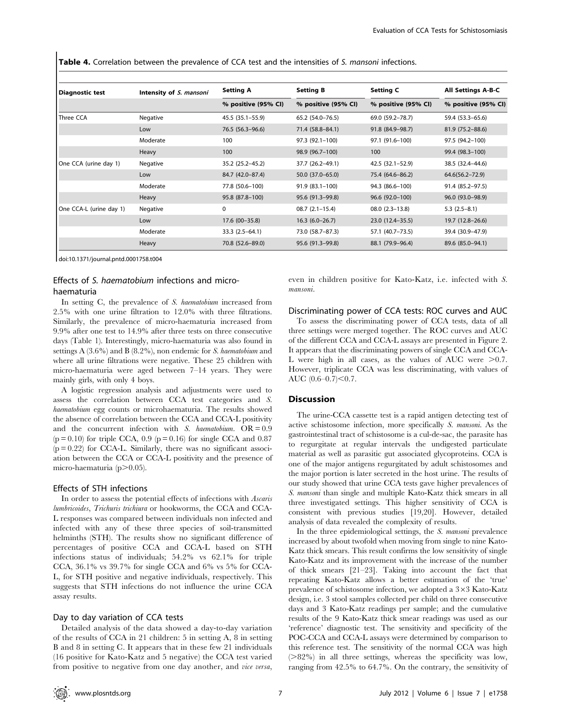Table 4. Correlation between the prevalence of CCA test and the intensities of S. mansoni infections.

| Diagnostic test         | Intensity of S. mansoni | <b>Setting A</b>    | <b>Setting B</b>    | <b>Setting C</b>    | <b>All Settings A-B-C</b> |
|-------------------------|-------------------------|---------------------|---------------------|---------------------|---------------------------|
|                         |                         | % positive (95% CI) | % positive (95% CI) | % positive (95% CI) | % positive (95% CI)       |
| Three CCA               | Negative                | 45.5 (35.1–55.9)    | 65.2 (54.0-76.5)    | 69.0 (59.2-78.7)    | 59.4 (53.3-65.6)          |
|                         | Low                     | 76.5 (56.3–96.6)    | 71.4 (58.8-84.1)    | 91.8 (84.9-98.7)    | 81.9 (75.2-88.6)          |
|                         | Moderate                | 100                 | 97.3 (92.1-100)     | 97.1 (91.6-100)     | 97.5 (94.2-100)           |
|                         | Heavy                   | 100                 | 98.9 (96.7-100)     | 100                 | 99.4 (98.3-100)           |
| One CCA (urine day 1)   | Negative                | 35.2 (25.2-45.2)    | 37.7 (26.2-49.1)    | 42.5 (32.1–52.9)    | 38.5 (32.4–44.6)          |
|                         | Low                     | 84.7 (42.0-87.4)    | $50.0(37.0 - 65.0)$ | 75.4 (64.6-86.2)    | $64.6(56.2 - 72.9)$       |
|                         | Moderate                | 77.8 (50.6-100)     | 91.9 (83.1-100)     | 94.3 (86.6-100)     | 91.4 (85.2-97.5)          |
|                         | Heavy                   | 95.8 (87.8-100)     | 95.6 (91.3-99.8)    | 96.6 (92.0-100)     | 96.0 (93.0-98.9)          |
| One CCA-L (urine day 1) | Negative                | 0                   | $08.7(2.1-15.4)$    | $08.0(2.3-13.8)$    | $5.3(2.5-8.1)$            |
|                         | Low                     | 17.6 (00-35.8)      | $16.3(6.0-26.7)$    | 23.0 (12.4–35.5)    | 19.7 (12.8–26.6)          |
|                         | Moderate                | $33.3(2.5-64.1)$    | 73.0 (58.7-87.3)    | 57.1 (40.7-73.5)    | 39.4 (30.9-47.9)          |
|                         | Heavy                   | 70.8 (52.6-89.0)    | 95.6 (91.3-99.8)    | 88.1 (79.9-96.4)    | 89.6 (85.0-94.1)          |

doi:10.1371/journal.pntd.0001758.t004

# Effects of S. haematobium infections and microhaematuria

In setting C, the prevalence of S. haematobium increased from 2.5% with one urine filtration to 12.0% with three filtrations. Similarly, the prevalence of micro-haematuria increased from 9.9% after one test to 14.9% after three tests on three consecutive days (Table 1). Interestingly, micro-haematuria was also found in settings A  $(3.6\%)$  and B  $(8.2\%)$ , non endemic for S. haematobium and where all urine filtrations were negative. These 25 children with micro-haematuria were aged between 7–14 years. They were mainly girls, with only 4 boys.

A logistic regression analysis and adjustments were used to assess the correlation between CCA test categories and S. haematobium egg counts or microhaematuria. The results showed the absence of correlation between the CCA and CCA-L positivity and the concurrent infection with S. haematobium.  $OR = 0.9$  $(p = 0.10)$  for triple CCA, 0.9  $(p = 0.16)$  for single CCA and 0.87  $(p = 0.22)$  for CCA-L. Similarly, there was no significant association between the CCA or CCA-L positivity and the presence of micro-haematuria ( $p$  $>$ 0.05).

## Effects of STH infections

In order to assess the potential effects of infections with Ascaris lumbricoides, Trichuris trichiura or hookworms, the CCA and CCA-L responses was compared between individuals non infected and infected with any of these three species of soil-transmitted helminths (STH). The results show no significant difference of percentages of positive CCA and CCA-L based on STH infections status of individuals; 54.2% vs 62.1% for triple CCA, 36.1% vs 39.7% for single CCA and 6% vs 5% for CCA-L, for STH positive and negative individuals, respectively. This suggests that STH infections do not influence the urine CCA assay results.

## Day to day variation of CCA tests

Detailed analysis of the data showed a day-to-day variation of the results of CCA in 21 children: 5 in setting A, 8 in setting B and 8 in setting C. It appears that in these few 21 individuals (16 positive for Kato-Katz and 5 negative) the CCA test varied from positive to negative from one day another, and vice versa,

even in children positive for Kato-Katz, i.e. infected with S. mansoni.

#### Discriminating power of CCA tests: ROC curves and AUC

To assess the discriminating power of CCA tests, data of all three settings were merged together. The ROC curves and AUC of the different CCA and CCA-L assays are presented in Figure 2. It appears that the discriminating powers of single CCA and CCA-L were high in all cases, as the values of AUC were  $>0.7$ . However, triplicate CCA was less discriminating, with values of AUC  $(0.6-0.7)$ <0.7.

#### **Discussion**

The urine-CCA cassette test is a rapid antigen detecting test of active schistosome infection, more specifically S. mansoni. As the gastrointestinal tract of schistosome is a cul-de-sac, the parasite has to regurgitate at regular intervals the undigested particulate material as well as parasitic gut associated glycoproteins. CCA is one of the major antigens regurgitated by adult schistosomes and the major portion is later secreted in the host urine. The results of our study showed that urine CCA tests gave higher prevalences of S. mansoni than single and multiple Kato-Katz thick smears in all three investigated settings. This higher sensitivity of CCA is consistent with previous studies [19,20]. However, detailed analysis of data revealed the complexity of results.

In the three epidemiological settings, the S. mansoni prevalence increased by about twofold when moving from single to nine Kato-Katz thick smears. This result confirms the low sensitivity of single Kato-Katz and its improvement with the increase of the number of thick smears [21–23]. Taking into account the fact that repeating Kato-Katz allows a better estimation of the 'true' prevalence of schistosome infection, we adopted a  $3\times3$  Kato-Katz design, i.e. 3 stool samples collected per child on three consecutive days and 3 Kato-Katz readings per sample; and the cumulative results of the 9 Kato-Katz thick smear readings was used as our 'reference' diagnostic test. The sensitivity and specificity of the POC-CCA and CCA-L assays were determined by comparison to this reference test. The sensitivity of the normal CCA was high  $($ >82%) in all three settings, whereas the specificity was low, ranging from 42.5% to 64.7%. On the contrary, the sensitivity of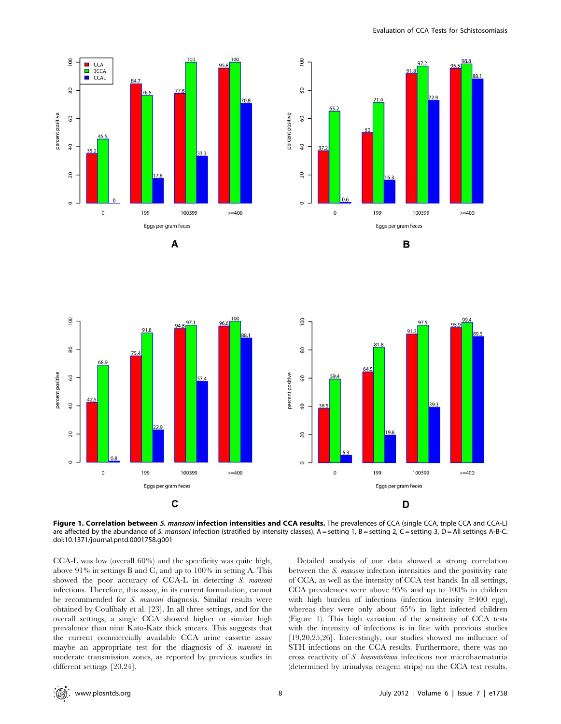







Figure 1. Correlation between S. mansoni infection intensities and CCA results. The prevalences of CCA (single CCA, triple CCA and CCA-L) are affected by the abundance of S. mansoni infection (stratified by intensity classes). A = setting 1, B = setting 2, C = setting 3, D = All settings A-B-C. doi:10.1371/journal.pntd.0001758.g001

CCA-L was low (overall 60%) and the specificity was quite high, above 91% in settings B and C, and up to 100% in setting A. This showed the poor accuracy of CCA-L in detecting S. mansoni infections. Therefore, this assay, in its current formulation, cannot be recommended for S. mansoni diagnosis. Similar results were obtained by Coulibaly et al. [23]. In all three settings, and for the overall settings, a single CCA showed higher or similar high prevalence than nine Kato-Katz thick smears. This suggests that the current commercially available CCA urine cassette assay maybe an appropriate test for the diagnosis of S. mansoni in moderate transmission zones, as reported by previous studies in different settings [20,24].

Detailed analysis of our data showed a strong correlation between the S. mansoni infection intensities and the positivity rate of CCA, as well as the intensity of CCA test bands. In all settings, CCA prevalences were above 95% and up to 100% in children with high burden of infections (infection intensity  $\geq 400$  epg), whereas they were only about 65% in light infected children (Figure 1). This high variation of the sensitivity of CCA tests with the intensity of infections is in line with previous studies [19,20,25,26]. Interestingly, our studies showed no influence of STH infections on the CCA results. Furthermore, there was no cross reactivity of S. haematobium infections nor microhaematuria (determined by urinalysis reagent strips) on the CCA test results.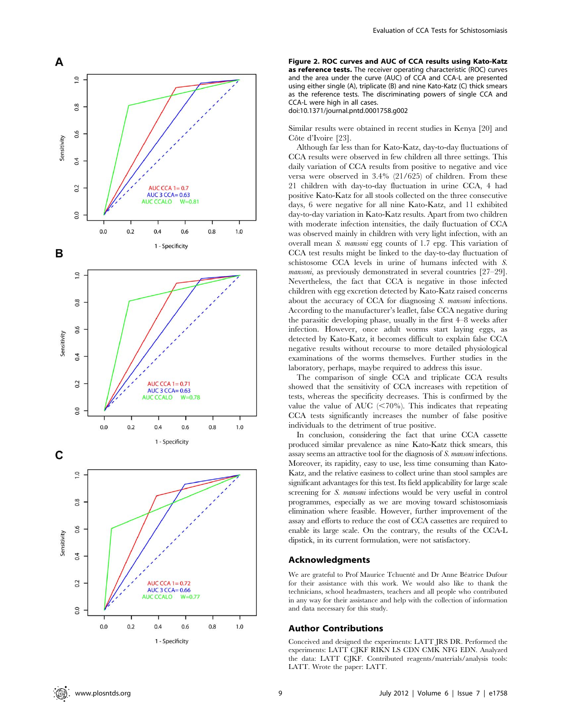

Figure 2. ROC curves and AUC of CCA results using Kato-Katz as reference tests. The receiver operating characteristic (ROC) curves and the area under the curve (AUC) of CCA and CCA-L are presented using either single (A), triplicate (B) and nine Kato-Katz (C) thick smears as the reference tests. The discriminating powers of single CCA and CCA-L were high in all cases.

doi:10.1371/journal.pntd.0001758.g002

Similar results were obtained in recent studies in Kenya [20] and Côte d'Ivoire [23].

Although far less than for Kato-Katz, day-to-day fluctuations of CCA results were observed in few children all three settings. This daily variation of CCA results from positive to negative and vice versa were observed in 3.4% (21/625) of children. From these 21 children with day-to-day fluctuation in urine CCA, 4 had positive Kato-Katz for all stools collected on the three consecutive days, 6 were negative for all nine Kato-Katz, and 11 exhibited day-to-day variation in Kato-Katz results. Apart from two children with moderate infection intensities, the daily fluctuation of CCA was observed mainly in children with very light infection, with an overall mean S. mansoni egg counts of 1.7 epg. This variation of CCA test results might be linked to the day-to-day fluctuation of schistosome CCA levels in urine of humans infected with S. mansoni, as previously demonstrated in several countries [27–29]. Nevertheless, the fact that CCA is negative in those infected children with egg excretion detected by Kato-Katz raised concerns about the accuracy of CCA for diagnosing S. mansoni infections. According to the manufacturer's leaflet, false CCA negative during the parasitic developing phase, usually in the first 4–8 weeks after infection. However, once adult worms start laying eggs, as detected by Kato-Katz, it becomes difficult to explain false CCA negative results without recourse to more detailed physiological examinations of the worms themselves. Further studies in the laboratory, perhaps, maybe required to address this issue.

The comparison of single CCA and triplicate CCA results showed that the sensitivity of CCA increases with repetition of tests, whereas the specificity decreases. This is confirmed by the value the value of AUC  $\langle 570\% \rangle$ . This indicates that repeating CCA tests significantly increases the number of false positive individuals to the detriment of true positive.

In conclusion, considering the fact that urine CCA cassette produced similar prevalence as nine Kato-Katz thick smears, this assay seems an attractive tool for the diagnosis of S. mansoni infections. Moreover, its rapidity, easy to use, less time consuming than Kato-Katz, and the relative easiness to collect urine than stool samples are significant advantages for this test. Its field applicability for large scale screening for S. *mansoni* infections would be very useful in control programmes, especially as we are moving toward schistosomiasis elimination where feasible. However, further improvement of the assay and efforts to reduce the cost of CCA cassettes are required to enable its large scale. On the contrary, the results of the CCA-L dipstick, in its current formulation, were not satisfactory.

## Acknowledgments

We are grateful to Prof Maurice Tchuenté and Dr Anne Béatrice Dufour for their assistance with this work. We would also like to thank the technicians, school headmasters, teachers and all people who contributed in any way for their assistance and help with the collection of information and data necessary for this study.

## Author Contributions

Conceived and designed the experiments: LATT JRS DR. Performed the experiments: LATT CJKF RIKN LS CDN CMK NFG EDN. Analyzed the data: LATT CJKF. Contributed reagents/materials/analysis tools: LATT. Wrote the paper: LATT.